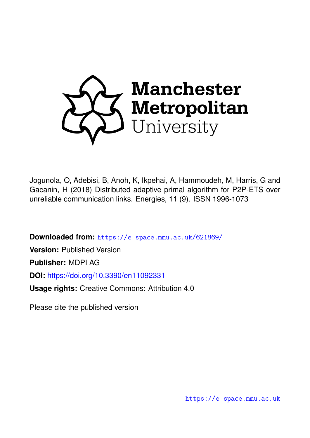

Jogunola, O, Adebisi, B, Anoh, K, Ikpehai, A, Hammoudeh, M, Harris, G and Gacanin, H (2018) Distributed adaptive primal algorithm for P2P-ETS over unreliable communication links. Energies, 11 (9). ISSN 1996-1073

**Downloaded from:** <https://e-space.mmu.ac.uk/621869/>

**Version:** Published Version

**Publisher:** MDPI AG

**DOI:** <https://doi.org/10.3390/en11092331>

**Usage rights:** Creative Commons: Attribution 4.0

Please cite the published version

<https://e-space.mmu.ac.uk>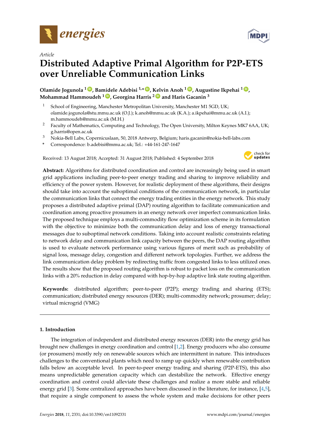

*Article*

# **Distributed Adaptive Primal Algorithm for P2P-ETS over Unreliable Communication Links**

**Olamide Jogunola <sup>1</sup> [ID](https://orcid.org/0000-0002-2701-9524) , Bamidele Adebisi 1,\* [ID](https://orcid.org/0000-0001-9071-9120) , Kelvin Anoh <sup>1</sup> [ID](https://orcid.org/0000-0002-2538-6945) , Augustine Ikpehai <sup>1</sup> [ID](https://orcid.org/0000-0002-5254-8188) , Mohammad Hammoudeh <sup>1</sup> [ID](https://orcid.org/0000-0003-1058-0996) , Georgina Harris <sup>2</sup> [ID](https://orcid.org/0000-0002-0297-6010) and Haris Gacanin <sup>3</sup>**

- <sup>1</sup> School of Engineering, Manchester Metropolitan University, Manchester M1 5GD, UK; olamide.jogunola@stu.mmu.ac.uk (O.J.); k.anoh@mmu.ac.uk (K.A.); a.ikpehai@mmu.ac.uk (A.I.); m.hammoudeh@mmu.ac.uk (M.H.)
- <sup>2</sup> Faculty of Mathematics, Computing and Technology, The Open University, Milton Keynes MK7 6AA, UK; g.harris@open.ac.uk
- <sup>3</sup> Nokia-Bell Labs, Copernicuslaan, 50, 2018 Antwerp, Belgium; haris.gacanin@nokia-bell-labs.com
- **\*** Correspondence: b.adebisi@mmu.ac.uk; Tel.: +44-161-247-1647

Received: 13 August 2018; Accepted: 31 August 2018; Published: 4 September 2018



**Abstract:** Algorithms for distributed coordination and control are increasingly being used in smart grid applications including peer-to-peer energy trading and sharing to improve reliability and efficiency of the power system. However, for realistic deployment of these algorithms, their designs should take into account the suboptimal conditions of the communication network, in particular the communication links that connect the energy trading entities in the energy network. This study proposes a distributed adaptive primal (DAP) routing algorithm to facilitate communication and coordination among proactive prosumers in an energy network over imperfect communication links. The proposed technique employs a multi-commodity flow optimization scheme in its formulation with the objective to minimize both the communication delay and loss of energy transactional messages due to suboptimal network conditions. Taking into account realistic constraints relating to network delay and communication link capacity between the peers, the DAP routing algorithm is used to evaluate network performance using various figures of merit such as probability of signal loss, message delay, congestion and different network topologies. Further, we address the link communication delay problem by redirecting traffic from congested links to less utilized ones. The results show that the proposed routing algorithm is robust to packet loss on the communication links with a 20% reduction in delay compared with hop-by-hop adaptive link state routing algorithm.

**Keywords:** distributed algorithm; peer-to-peer (P2P); energy trading and sharing (ETS); communication; distributed energy resources (DER); multi-commodity network; prosumer; delay; virtual microgrid (VMG)

# **1. Introduction**

The integration of independent and distributed energy resources (DER) into the energy grid has brought new challenges in energy coordination and control [\[1](#page-14-0)[,2\]](#page-14-1). Energy producers who also consume (or prosumers) mostly rely on renewable sources which are intermittent in nature. This introduces challenges to the conventional plants which need to ramp up quickly when renewable contribution falls below an acceptable level. In peer-to-peer energy trading and sharing (P2P-ETS), this also means unpredictable generation capacity which can destabilize the network. Effective energy coordination and control could alleviate these challenges and realize a more stable and reliable energy grid [\[3\]](#page-14-2). Some centralized approaches have been discussed in the literature, for instance, [\[4,](#page-14-3)[5\]](#page-14-4), that require a single component to assess the whole system and make decisions for other peers

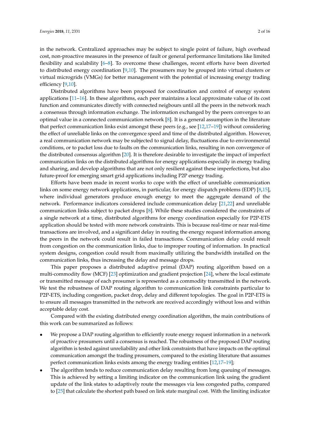in the network. Centralized approaches may be subject to single point of failure, high overhead cost, non-proactive measures in the presence of fault or general performance limitations like limited flexibility and scalability [\[6](#page-14-5)[–8\]](#page-14-6). To overcome these challenges, recent efforts have been diverted to distributed energy coordination [\[9](#page-14-7)[,10\]](#page-14-8). The prosumers may be grouped into virtual clusters or virtual microgrids (VMGs) for better management with the potential of increasing energy trading efficiency [\[9,](#page-14-7)[10\]](#page-14-8).

Distributed algorithms have been proposed for coordination and control of energy system applications [\[11–](#page-14-9)[16\]](#page-15-0). In these algorithms, each peer maintains a local approximate value of its cost function and communicates directly with connected neigbours until all the peers in the network reach a consensus through information exchange. The information exchanged by the peers converges to an optimal value in a connected communication network [\[8\]](#page-14-6). It is a general assumption in the literature that perfect communication links exist amongst these peers (e.g., see [\[12](#page-15-1)[,17](#page-15-2)[–19\]](#page-15-3)) without considering the effect of unreliable links on the convergence speed and time of the distributed algorithm. However, a real communication network may be subjected to signal delay, fluctuations due to environmental conditions, or to packet loss due to faults on the communication links, resulting in non convergence of the distributed consensus algorithm [\[20\]](#page-15-4). It is therefore desirable to investigate the impact of imperfect communication links on the distributed algorithms for energy applications especially in energy trading and sharing, and develop algorithms that are not only resilient against these imperfections, but also future-proof for emerging smart grid applications including P2P energy trading.

Efforts have been made in recent works to cope with the effect of unreliable communication links on some energy network applications, in particular, for energy dispatch problems (EDP) [\[8,](#page-14-6)[15\]](#page-15-5), where individual generators produce enough energy to meet the aggregate demand of the network. Performance indicators considered include communication delay [\[21,](#page-15-6)[22\]](#page-15-7) and unreliable communication links subject to packet drops [\[8\]](#page-14-6). While these studies considered the constraints of a single network at a time, distributed algorithms for energy coordination especially for P2P-ETS application should be tested with more network constraints. This is because real-time or near real-time transactions are involved, and a significant delay in routing the energy request information among the peers in the network could result in failed transactions. Communication delay could result from congestion on the communication links, due to improper routing of information. In practical system designs, congestion could result from maximally utilizing the bandwidth installed on the communication links, thus increasing the delay and message drops.

This paper proposes a distributed adaptive primal (DAP) routing algorithm based on a multi-commodity flow (MCF) [\[23\]](#page-15-8) optimization and gradient projection [\[24\]](#page-15-9), where the local estimate or transmitted message of each prosumer is represented as a commodity transmitted in the network. We test the robustness of DAP routing algorithm to communication link constraints particular to P2P-ETS, including congestion, packet drop, delay and different topologies. The goal in P2P-ETS is to ensure all messages transmitted in the network are received accordingly without loss and within acceptable delay cost.

Compared with the existing distributed energy coordination algorithm, the main contributions of this work can be summarized as follows:

- We propose a DAP routing algorithm to efficiently route energy request information in a network of proactive prosumers until a consensus is reached. The robustness of the proposed DAP routing algorithm is tested against unreliability and other link constraints that have impacts on the optimal communication amongst the trading prosumers, compared to the existing literature that assumes perfect communication links exists among the energy trading entities [\[12,](#page-15-1)[17](#page-15-2)[–19\]](#page-15-3);
- The algorithm tends to reduce communication delay resulting from long queuing of messages. This is achieved by setting a limiting indicator on the communication link using the gradient update of the link states to adaptively route the messages via less congested paths, compared to [\[25\]](#page-15-10) that calculate the shortest path based on link state marginal cost. With the limiting indicator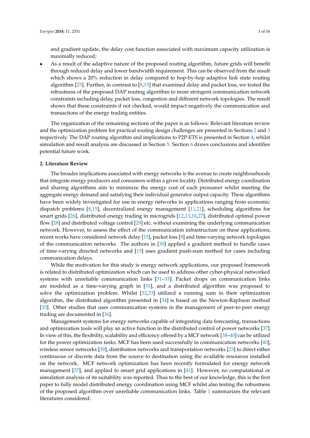and gradient update, the delay cost function associated with maximum capacity utilization is maximally reduced;

• As a result of the adaptive nature of the proposed routing algorithm, future grids will benefit through reduced delay and lower bandwidth requirement. This can be observed from the result which shows a 20% reduction in delay compared to hop-by-hop adaptive link state routing algorithm  $[25]$ . Further, in contrast to  $[8,15]$  $[8,15]$  that examined delay and packet loss, we tested the robustness of the proposed DAP routing algorithm to more stringent communication network constraints including delay, packet loss, congestion and different network topologies. The result shows that these constraints if not checked, would impact negatively the communication and transactions of the energy trading entities.

The organization of the remaining sections of the paper is as follows: Relevant literature review and the optimization problem for practical routing design challenges are presented in Sections [2](#page-3-0) and [3](#page-4-0) respectively. The DAP routing algorithm and implications to P2P-ETS is presented in Section [4,](#page-5-0) whilst simulation and result analysis are discussed in Section [5.](#page-7-0) Section [6](#page-13-0) draws conclusions and identifies potential future work.

# <span id="page-3-0"></span>**2. Literature Review**

The broader implications associated with energy networks is the avenue to create neighbourhoods that integrate energy producers and consumers within a given locality. Distributed energy coordination and sharing algorithms aim to minimize the energy cost of each prosumer whilst meeting the aggregate energy demand and satisfying their individual generator output capacity. These algorithms have been widely investigated for use in energy networks in applications ranging from economic dispatch problems [\[8,](#page-14-6)[15\]](#page-15-5), decentralized energy management [\[11](#page-14-9)[,21\]](#page-15-6), scheduling algorithms for smart grids [\[26\]](#page-15-11), distributed energy trading in microgrids [\[12](#page-15-1)[,13](#page-15-12)[,16](#page-15-0)[,27\]](#page-15-13), distributed optimal power flow [\[28\]](#page-15-14) and distributed voltage control [\[29\]](#page-15-15) etc. without examining the underlying communication network. However, to assess the effect of the communication infrastructure on these applications, recent works have considered network delay [\[15\]](#page-15-5), packet loss [\[8\]](#page-14-6) and time-varying network topologies of the communication networks. The authors in [\[30\]](#page-15-16) applied a gradient method to handle cases of time-varying directed networks and [\[15\]](#page-15-5) uses gradient push-sum method for cases including communication delays.

While the motivation for this study is energy network applications, our proposed framework is related to distributed optimization which can be used to address other cyber-physical networked systems with unreliable communication links [\[31](#page-15-17)[–33\]](#page-15-18). Packet drops on communication links are modeled as a time-varying graph in [\[31\]](#page-15-17), and a distributed algorithm was proposed to solve the optimization problem. Whilst [\[32,](#page-15-19)[33\]](#page-15-18) utilized a running sum in their optimization algorithm, the distributed algorithm presented in [\[34\]](#page-15-20) is based on the Newton-Raphson method [\[35\]](#page-16-0). Other studies that uses communication systems in the management of peer-to-peer energy trading are documented in [\[36\]](#page-16-1).

Management systems for energy networks capable of integrating data forecasting, transactions and optimization tools will play an active function in the distributed control of power networks [\[37\]](#page-16-2). In view of this, the flexibility, scalability and efficiency offered by a MCF network [\[38](#page-16-3)[–40\]](#page-16-4) can be utilized for the power optimization tasks. MCF has been used successfully in communication networks [\[40\]](#page-16-4), wireless sensor networks [\[39\]](#page-16-5), distribution networks and transportation networks [\[23\]](#page-15-8) to direct either continuous or discrete data from the source to destination using the available resources installed on the network. MCF network optimization has been recently formulated for energy network management [\[37\]](#page-16-2), and applied to smart grid applications in [\[41\]](#page-16-6). However, no computational or simulation analysis of its suitability was reported. Thus to the best of our knowledge, this is the first paper to fully model distributed energy coordination using MCF whilst also testing the robustness of the proposed algorithm over unreliable communication links. Table [1](#page-4-1) summarizes the relevant literatures considered.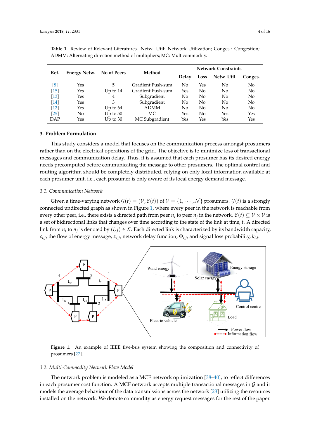| Ref.   | <b>Energy Netw.</b> | No of Peers | Method            | <b>Network Constraints</b> |                |             |         |
|--------|---------------------|-------------|-------------------|----------------------------|----------------|-------------|---------|
|        |                     |             |                   | Delay                      | Loss           | Netw. Util. | Conges. |
| [8]    | Yes                 | 5           | Gradient Push-sum | No                         | Yes            | No          | No      |
| $[15]$ | Yes                 | Up to $14$  | Gradient Push-sum | Yes                        | No             | No          | No      |
| $[13]$ | Yes                 | 4           | Subgradient       | N <sub>0</sub>             | No             | No          | No      |
| $[14]$ | Yes                 | 3           | Subgradient       | No                         | No             | No          | No      |
| [12]   | Yes                 | Up to $64$  | <b>ADMM</b>       | No                         | No             | No          | No      |
| $[25]$ | N <sub>0</sub>      | Up to $50$  | MC.               | Yes                        | N <sub>0</sub> | Yes         | Yes     |
| DAP    | Yes                 | Up to $30$  | MC Subgradient    | Yes                        | Yes            | Yes         | Yes     |

<span id="page-4-1"></span>

|  |                                                                        |  |  |  | Table 1. Review of Relevant Literatures. Netw. Util: Network Utilization; Conges.: Congestion; |
|--|------------------------------------------------------------------------|--|--|--|------------------------------------------------------------------------------------------------|
|  | ADMM: Alternating direction method of multipliers; MC: Multicommodity. |  |  |  |                                                                                                |

## <span id="page-4-0"></span>**3. Problem Formulation**

This study considers a model that focuses on the communication process amongst prosumers rather than on the electrical operations of the grid. The objective is to minimize loss of transactional messages and communication delay. Thus, it is assumed that each prosumer has its desired energy needs precomputed before communicating the message to other prosumers. The optimal control and routing algorithm should be completely distributed, relying on only local information available at each prosumer unit, i.e., each prosumer is only aware of its local energy demand message.

## *3.1. Communication Network*

Given a time-varying network  $\mathcal{G}(t) = (\mathcal{V}, \mathcal{E}(t))$  of  $\mathcal{V} = \{1, \dots, \mathcal{N}\}\$ prosumers.  $\mathcal{G}(t)$  is a strongly connected undirected graph as shown in Figure [1,](#page-4-2) where every peer in the network is reachable from every other peer, i.e., there exists a directed path from peer  $n_i$  to peer  $n_j$  in the network.  $\mathcal{E}(t) \subseteq \mathcal{V} \times \mathcal{V}$  is a set of bidirectional links that changes over time according to the state of the link at time, *t*. A directed link from  $n_i$  to  $n_j$  is denoted by  $(i, j) \in \mathcal{E}$ . Each directed link is characterized by its bandwidth capacity,  $c_{i,j}$ , the flow of energy message,  $x_{i,j}$ , network delay function,  $\Phi_{i,j}$ , and signal loss probability,  $k_{i,j}$ .

<span id="page-4-2"></span>

**Figure 1.** An example of IEEE five-bus system showing the composition and connectivity of prosumers [\[27\]](#page-15-13).

## *3.2. Multi-Commodity Network Flow Model*

The network problem is modeled as a MCF network optimization [\[38–](#page-16-3)[40\]](#page-16-4), to reflect differences in each prosumer cost function. A MCF network accepts multiple transactional messages in  $\mathcal G$  and it models the average behaviour of the data transmissions across the network [\[23\]](#page-15-8) utilizing the resources installed on the network. We denote commodity as energy request messages for the rest of the paper.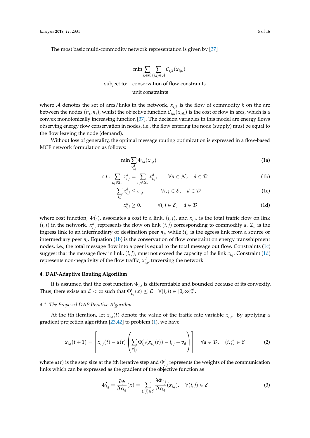The most basic multi-commodity network representation is given by [\[37\]](#page-16-2)

$$
\min \sum_{k \in \mathcal{K}} \sum_{(i,j) \in \mathcal{A}} C_{ijk}(x_{ijk})
$$
\nsubject to:

\n\n- conservation of flow constraints
\n- unit constraints
\n

where A denotes the set of arcs/links in the network,  $x_{ijk}$  is the flow of commodity  $k$  on the arc between the nodes  $(n_i, n_j)$ , whilst the objective function  $\mathcal{C}_{ijk}(x_{ijk})$  is the cost of flow in arcs, which is a convex monotonically increasing function [\[37\]](#page-16-2). The decision variables in this model are energy flows observing energy flow conservation in nodes, i.e., the flow entering the node (supply) must be equal to the flow leaving the node (demand).

Without loss of generality, the optimal message routing optimization is expressed in a flow-based MCF network formulation as follows:

<span id="page-5-4"></span>
$$
\min \sum_{x_{i,j}^d} \Phi_{i,j}(x_{i,j})
$$
\n(1a)

$$
s.t: \sum_{i,j\in\mathcal{I}_n} x_{i,j}^d = \sum_{i,j\in\mathcal{U}_n} x_{i,j}^d, \qquad \forall n \in \mathcal{N}, \quad d \in \mathcal{D}
$$
 (1b)

$$
\sum_{i,j} x_{i,j}^d \le c_{i,j}, \qquad \forall i,j \in \mathcal{E}, \quad d \in \mathcal{D}
$$
 (1c)

<span id="page-5-3"></span><span id="page-5-2"></span><span id="page-5-1"></span>
$$
x_{i,j}^d \ge 0, \qquad \forall i,j \in \mathcal{E}, \quad d \in \mathcal{D} \tag{1d}
$$

where cost function,  $\Phi(\cdot)$ , associates a cost to a link,  $(i, j)$ , and  $x_{i,j}$ , is the total traffic flow on link  $(i, j)$  in the network.  $x_{i,j}^d$  represents the flow on link  $(i, j)$  corresponding to commodity  $d$ .  $\mathcal{I}_n$  is the ingress link to an intermediary or destination peer  $n_j$ , while  $\mathcal{U}_n$  is the egress link from a source or intermediary peer *n<sup>i</sup>* . Equation [\(1b\)](#page-5-1) is the conservation of flow constraint on energy transshipment nodes, i.e., the total message flow into a peer is equal to the total message out flow. Constraints [\(1c\)](#page-5-2) suggest that the message flow in link, (*i*, *j*), must not exceed the capacity of the link *ci*,*<sup>j</sup>* . Constraint [\(1d\)](#page-5-3) represents non-negativity of the flow traffic,  $x_{i,j}^d$ , traversing the network.

#### <span id="page-5-0"></span>**4. DAP-Adaptive Routing Algorithm**

It is assumed that the cost function Φ*i*,*<sup>j</sup>* is differentiable and bounded because of its convexity. Thus, there exists an  $\mathcal{L} < \infty$  such that  $\Phi'_{i,j}(x) \leq \mathcal{L} \quad \forall (i,j) \in [0,\infty]^{\mathcal{N}}_n$ .

## *4.1. The Proposed DAP Iterative Algorithm*

At the *t*th iteration, let  $x_{i,j}(t)$  denote the value of the traffic rate variable  $x_{i,j}$ . By applying a gradient projection algorithm [\[23,](#page-15-8)[42\]](#page-16-7) to problem [\(1\)](#page-5-4), we have:

$$
x_{i,j}(t+1) = \left[x_{i,j}(t) - \alpha(t) \left(\sum_{x_{i,j}^d} \Phi'_{i,j}(x_{i,j}(t)) - l_{i,j} + v_d\right)\right] \quad \forall d \in \mathcal{D}, \quad (i,j) \in \mathcal{E}
$$
 (2)

where  $\alpha(t)$  is the step size at the *t*th iterative step and  $\Phi'_{i,j}$  represents the weights of the communication links which can be expressed as the gradient of the objective function as

<span id="page-5-6"></span><span id="page-5-5"></span>
$$
\Phi'_{i,j} = \frac{\partial \phi}{\partial x_{i,j}}(x) = \sum_{(i,j)\in \mathcal{E}} \frac{\partial \Phi_{i,j}}{\partial x_{i,j}}(x_{i,j}), \quad \forall (i,j) \in \mathcal{E}
$$
\n(3)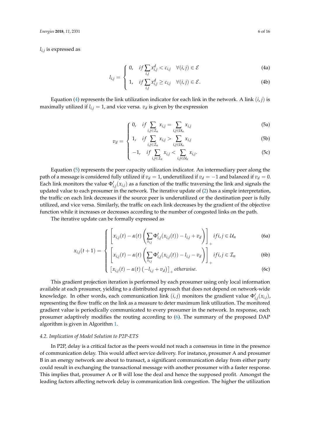<span id="page-6-0"></span>*li*,*j* is expressed as

$$
\int 0, \quad if \sum_{i,j} x_{i,j}^d < c_{i,j} \quad \forall (i,j) \in \mathcal{E} \tag{4a}
$$

$$
l_{i,j} = \begin{cases} 1, & if \sum_{i,j} x_{i,j}^d \ge c_{i,j} \quad \forall (i,j) \in \mathcal{E}. \end{cases}
$$
 (4b)

Equation [\(4\)](#page-5-5) represents the link utilization indicator for each link in the network. A link  $(i, j)$  is maximally utilized if  $l_{i,j} = 1$ , and vice versa.  $v_d$  is given by the expression

$$
\begin{cases}\n0, & if \sum_{i,j \in \mathcal{I}_n} x_{i,j} = \sum_{i,j \in \mathcal{U}_n} x_{i,j}\n\end{cases}
$$
\n(5a)

$$
v_d = \begin{cases} \n\quad & i, j \in \mathcal{I}_n \\ \n1, & if \sum_{i,j \in \mathcal{I}_n} x_{i,j} > \sum_{i,j \in \mathcal{U}_n} x_{i,j} \\ \n\end{cases} \tag{5b}
$$

$$
\left(-1, \quad if \sum_{i,j\in\mathcal{I}_n} x_{i,j} < \sum_{i,j\in\mathcal{U}_n} x_{i,j}.\right) \tag{5c}
$$

<span id="page-6-1"></span>Equation [\(5\)](#page-6-0) represents the peer capacity utilization indicator. An intermediary peer along the path of a message is considered fully utilized if  $v_d = 1$ , underutilized if  $v_d = -1$  and balanced if  $v_d = 0$ . Each link monitors the value  $\Phi'_{i,j}(x_{i,j})$  as a function of the traffic traversing the link and signals the updated value to each prosumer in the network. The iterative update of [\(2\)](#page-5-6) has a simple interpretation, the traffic on each link decreases if the source peer is underutilized or the destination peer is fully utilized, and vice versa. Similarly, the traffic on each link decreases by the gradient of the objective function while it increases or decreases according to the number of congested links on the path.

The iterative update can be formally expressed as

$$
\int\limits_{\Gamma} \left[ x_{i,j}(t) - \alpha(t) \left( \sum_{x_{i,j}} \Phi'_{i,j}(x_{i,j}(t)) - l_{i,j} + v_d \right) \right]_+ if i, j \in \mathcal{U}_n \tag{6a}
$$

$$
x_{i,j}(t+1) = \begin{cases} \left[ x_{i,j}(t) - \alpha(t) \left( \sum_{x_{i,j}} \Phi'_{i,j}(x_{i,j}(t)) - l_{i,j} - v_d \right) \right]_+ if i, j \in \mathcal{I}_n \\ \left[ x_{i,j}(t) - \alpha(t) \left( -l_{i,j} + v_d \right) \right]_+ otherwise. \end{cases}
$$
 (6b)

$$
\left[ x_{i,j}(t) - \alpha(t) \left( -l_{i,j} + v_d \right) \right]_+ \text{ otherwise.}
$$
 (6c)

This gradient projection iteration is performed by each prosumer using only local information available at each prosumer, yielding to a distributed approach that does not depend on network-wide knowledge. In other words, each communication link  $(i, j)$  monitors the gradient value  $\Phi'_{i,j}(x_{i,j})$ , representing the flow traffic on the link as a measure to deter maximum link utilization. The monitored gradient value is periodically communicated to every prosumer in the network. In response, each prosumer adaptively modifies the routing according to [\(6\)](#page-6-1). The summary of the proposed DAP algorithm is given in Algorithm [1.](#page-7-1)

## *4.2. Implication of Model Solution to P2P-ETS*

In P2P, delay is a critical factor as the peers would not reach a consensus in time in the presence of communication delay. This would affect service delivery. For instance, prosumer A and prosumer B in an energy network are about to transact, a significant communication delay from either party could result in exchanging the transactional message with another prosumer with a faster response. This implies that, prosumer A or B will lose the deal and hence the supposed profit. Amongst the leading factors affecting network delay is communication link congestion. The higher the utilization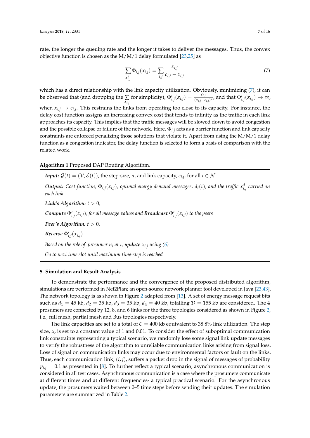rate, the longer the queuing rate and the longer it takes to deliver the messages. Thus, the convex objective function is chosen as the  $M/M/1$  delay formulated [\[23](#page-15-8)[,25\]](#page-15-10) as

<span id="page-7-2"></span>
$$
\sum_{x_{i,j}^d} \Phi_{i,j}(x_{i,j}) = \sum_{i,j} \frac{x_{i,j}}{c_{i,j} - x_{i,j}}
$$
\n(7)

which has a direct relationship with the link capacity utilization. Obviously, minimizing [\(7\)](#page-7-2), it can be observed that (and dropping the  $\Sigma$ *xi*,*<sup>j</sup>* for simplicity),  $\Phi'_{i,j}(x_{i,j}) = \frac{c_{i,j}}{(x_{i,j}-c_{i,j})^2}$ , and that  $\Phi'_{i,j}(x_{i,j}) \to \infty$ , when  $x_{i,j} \to c_{i,j}$ . This restrains the links from operating too close to its capacity. For instance, the delay cost function assigns an increasing convex cost that tends to infinity as the traffic in each link approaches its capacity. This implies that the traffic messages will be slowed down to avoid congestion and the possible collapse or failure of the network. Here, Φ*i*,*<sup>j</sup>* acts as a barrier function and link capacity constraints are enforced penalizing those solutions that violate it. Apart from using the M/M/1 delay function as a congestion indicator, the delay function is selected to form a basis of comparison with the related work.

<span id="page-7-1"></span>**Algorithm 1** Proposed DAP Routing Algorithm.

*Input:*  $\mathcal{G}(t) = (\mathcal{V}, \mathcal{E}(t))$ *, the step-size,*  $\alpha$ *, and link capacity,*  $c_{i,j}$ *, for all*  $i \in \mathcal{N}$ 

**Output:** Cost function,  $\Phi_{i,j}(x_{i,j})$ , optimal energy demand messages,  $d_i(t)$ , and the traffic  $x_{i,j}^d$  carried on *each link*.

*Link's Algorithm:*  $t > 0$ *,* 

 $\mathcal{C}$ *compute*  $\Phi'_{i,j}(x_{i,j})$ , for all message values and  $\mathcal{B}$ roadcast  $\Phi'_{i,j}(x_{i,j})$  to the peers

*Peer's Algorithm:*  $t > 0$ *,* 

 $\textit{Receive } \Phi'_{i,j}(x_{i,j})$ 

*Based on the role of prosumer*  $n_i$  *at t, update*  $x_{i,i}$  *<i>using* [\(6\)](#page-6-1)

*Go to next time slot until maximum time-step is reached*

#### <span id="page-7-0"></span>**5. Simulation and Result Analysis**

To demonstrate the performance and the convergence of the proposed distributed algorithm, simulations are performed in Net2Plan; an open-source network planner tool developed in Java [\[23](#page-15-8)[,43\]](#page-16-8). The network topology is as shown in Figure [2](#page-8-0) adapted from [\[13\]](#page-15-12). A set of energy message request bits such as  $d_1 = 45$  kb,  $d_2 = 35$  kb,  $d_3 = 35$  kb,  $d_4 = 40$  kb, totalling  $\mathcal{D} = 155$  kb are considered. The 4 prosumers are connected by 12, 8, and 6 links for the three topologies considered as shown in Figure [2,](#page-8-0) i.e., full mesh, partial mesh and Bus topologies respectively.

The link capacities are set to a total of  $C = 400$  kb equivalent to 38.8% link utilization. The step size, *α*, is set to a constant value of 1 and 0.01. To consider the effect of suboptimal communication link constraints representing a typical scenario, we randomly lose some signal link update messages to verify the robustness of the algorithm to unreliable communication links arising from signal loss. Loss of signal on communication links may occur due to environmental factors or fault on the links. Thus, each communication link, (*i*, *j*), suffers a packet drop in the signal of messages of probability  $p_{i,j} = 0.1$  as presented in [\[8\]](#page-14-6). To further reflect a typical scenario, asynchronous communication is considered in all test cases. Asynchronous communication is a case where the prosumers communicate at different times and at different frequencies- a typical practical scenario. For the asynchronous update, the prosumers waited between 0–5 time steps before sending their updates. The simulation parameters are summarized in Table [2.](#page-8-1)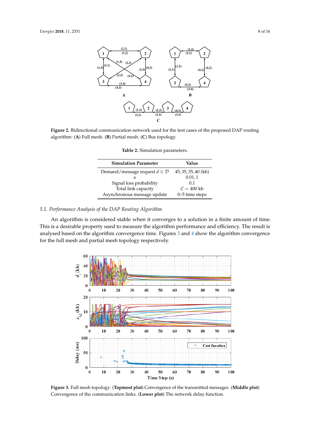<span id="page-8-0"></span>

<span id="page-8-1"></span>**Figure 2.** Bidirectional communication network used for the test cases of the proposed DAP routing algorithm: (**A**) Full mesh. (**B**) Partial mesh. (**C**) Bus topology.

| <b>Simulation Parameter</b>                | Value                 |  |  |
|--------------------------------------------|-----------------------|--|--|
| Demand/message request $d \in \mathcal{D}$ | $45, 35, 35, 40$ (kb) |  |  |
| $\alpha$                                   | 0.01, 1               |  |  |
| Signal loss probability                    | 0.1                   |  |  |
| Total link capacity                        | $C = 400$ kb          |  |  |
| Asynchronous message update                | 0-5 time steps        |  |  |

**Table 2.** Simulation parameters.

# *5.1. Performance Analysis of the DAP Routing Algorithm*

An algorithm is considered stable when it converges to a solution in a finite amount of time. This is a desirable property used to measure the algorithm performance and efficiency. The result is analysed based on the algorithm convergence time. Figures [3](#page-8-2) and [4](#page-9-0) show the algorithm convergence for the full mesh and partial mesh topology respectively.

<span id="page-8-2"></span>

**Figure 3.** Full mesh topology: (**Topmost plot**) Convergence of the transmitted messages. (**Middle plot**) Convergence of the communication links. (**Lower plot**) The network delay function.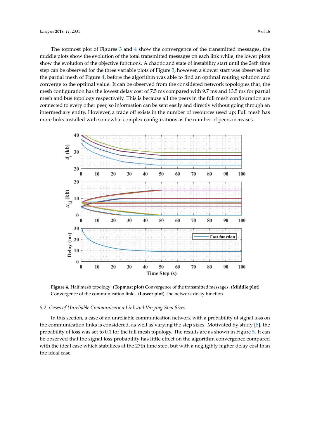The topmost plot of Figures [3](#page-8-2) and [4](#page-9-0) show the convergence of the transmitted messages, the middle plots show the evolution of the total transmitted messages on each link while, the lower plots show the evolution of the objective functions. A chaotic and state of instability start until the 24th time step can be observed for the three variable plots of Figure [3,](#page-8-2) however, a slower start was observed for the partial mesh of Figure [4,](#page-9-0) before the algorithm was able to find an optimal routing solution and converge to the optimal value. It can be observed from the considered network topologies that, the mesh configuration has the lowest delay cost of 7.5 ms compared with 9.7 ms and 13.5 ms for partial mesh and bus topology respectively. This is because all the peers in the full mesh configuration are connected to every other peer, so information can be sent easily and directly without going through an intermediary entity. However, a trade off exists in the number of resources used up; Full mesh has more links installed with somewhat complex configurations as the number of peers increases.

<span id="page-9-0"></span>

**Figure 4.** Half mesh topology: (**Topmost plot**) Convergence of the transmitted messages. (**Middle plot**) Convergence of the communication links. (**Lower plot**) The network delay function.

#### *5.2. Cases of Unreliable Communication Link and Varying Step Sizes*

In this section, a case of an unreliable communication network with a probability of signal loss on the communication links is considered, as well as varying the step sizes. Motivated by study [\[8\]](#page-14-6), the probability of loss was set to 0.1 for the full mesh topology. The results are as shown in Figure [5.](#page-10-0) It can be observed that the signal loss probability has little effect on the algorithm convergence compared with the ideal case which stabilizes at the 27th time step, but with a negligibly higher delay cost than the ideal case.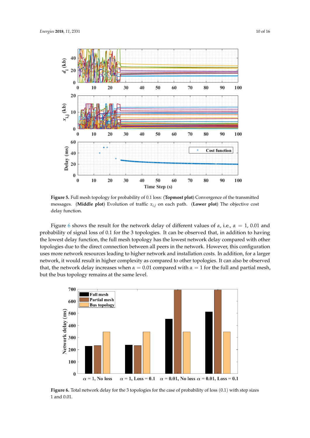<span id="page-10-0"></span>

**Figure 5.** Full mesh topology for probability of 0.1 loss: (**Topmost plot**) Convergence of the transmitted messages. (**Middle plot**) Evolution of traffic *xi*,*<sup>j</sup>* on each path. (**Lower plot**) The objective cost delay function.

Figure [6](#page-10-1) shows the result for the network delay of different values of  $\alpha$ , i.e.,  $\alpha = 1$ , 0.01 and probability of signal loss of 0.1 for the 3 topologies. It can be observed that, in addition to having the lowest delay function, the full mesh topology has the lowest network delay compared with other topologies due to the direct connection between all peers in the network. However, this configuration uses more network resources leading to higher network and installation costs. In addition, for a larger network, it would result in higher complexity as compared to other topologies. It can also be observed that, the network delay increases when  $\alpha = 0.01$  compared with  $\alpha = 1$  for the full and partial mesh, but the bus topology remains at the same level.

<span id="page-10-1"></span>

Figure 6. Total network delay for the 3 topologies for the case of probability of loss  $(0.1)$  with step sizes 1 and 0.01.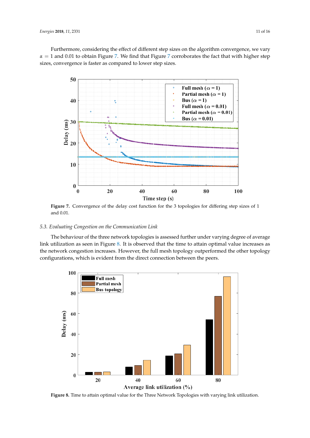Furthermore, considering the effect of different step sizes on the algorithm convergence, we vary  $\alpha = 1$  and 0.01 to obtain Figure [7.](#page-11-0) We find that Figure [7](#page-11-0) corroborates the fact that with higher step sizes, convergence is faster as compared to lower step sizes.

<span id="page-11-0"></span>

**Figure 7.** Convergence of the delay cost function for the 3 topologies for differing step sizes of 1 and 0.01.

## *5.3. Evaluating Congestion on the Communication Link*

The behaviour of the three network topologies is assessed further under varying degree of average link utilization as seen in Figure [8.](#page-11-1) It is observed that the time to attain optimal value increases as the network congestion increases. However, the full mesh topology outperformed the other topology configurations, which is evident from the direct connection between the peers.

<span id="page-11-1"></span>

**Figure 8.** Time to attain optimal value for the Three Network Topologies with varying link utilization.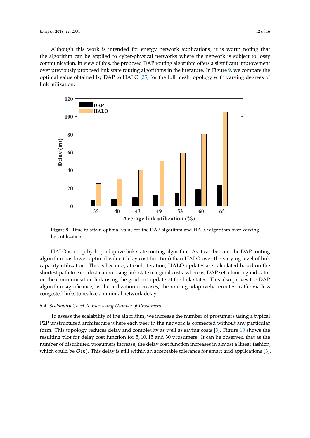Although this work is intended for energy network applications, it is worth noting that the algorithm can be applied to cyber-physical networks where the network is subject to lossy communication. In view of this, the proposed DAP routing algorithm offers a significant improvement over previously proposed link state routing algorithms in the literature. In Figure [9,](#page-12-0) we compare the optimal value obtained by DAP to HALO [\[25\]](#page-15-10) for the full mesh topology with varying degrees of link utilization.

<span id="page-12-0"></span>

**Figure 9.** Time to attain optimal value for the DAP algorithm and HALO algorithm over varying link utilization.

HALO is a hop-by-hop adaptive link state routing algorithm. As it can be seen, the DAP routing algorithm has lower optimal value (delay cost function) than HALO over the varying level of link capacity utilization. This is because, at each iteration, HALO updates are calculated based on the shortest path to each destination using link state marginal costs, whereas, DAP set a limiting indicator on the communication link using the gradient update of the link states. This also proves the DAP algorithm significance, as the utilization increases, the routing adaptively reroutes traffic via less congested links to realize a minimal network delay.

#### *5.4. Scalability Check to Increasing Number of Prosumers*

To assess the scalability of the algorithm, we increase the number of prosumers using a typical P2P unstructured architecture where each peer in the network is connected without any particular form. This topology reduces delay and complexity as well as saving costs [\[3\]](#page-14-2). Figure [10](#page-13-1) shows the resulting plot for delay cost function for 5, 10, 15 and 30 prosumers. It can be observed that as the number of distributed prosumers increase, the delay cost function increases in almost a linear fashion, which could be  $\mathcal{O}(n)$ . This delay is still within an acceptable tolerance for smart grid applications [\[3\]](#page-14-2).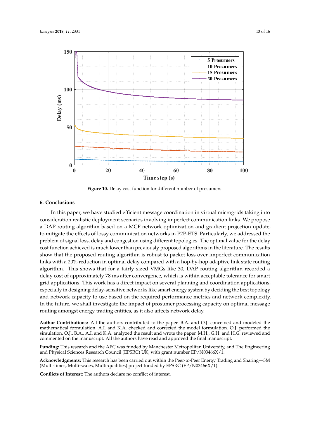<span id="page-13-1"></span>

**Figure 10.** Delay cost function for different number of prosumers.

# <span id="page-13-0"></span>**6. Conclusions**

In this paper, we have studied efficient message coordination in virtual microgrids taking into consideration realistic deployment scenarios involving imperfect communication links. We propose a DAP routing algorithm based on a MCF network optimization and gradient projection update, to mitigate the effects of lossy communication networks in P2P-ETS. Particularly, we addressed the problem of signal loss, delay and congestion using different topologies. The optimal value for the delay cost function achieved is much lower than previously proposed algorithms in the literature. The results show that the proposed routing algorithm is robust to packet loss over imperfect communication links with a 20% reduction in optimal delay compared with a hop-by-hop adaptive link state routing algorithm. This shows that for a fairly sized VMGs like 30, DAP routing algorithm recorded a delay cost of approximately 78 ms after convergence, which is within acceptable tolerance for smart grid applications. This work has a direct impact on several planning and coordination applications, especially in designing delay-sensitive networks like smart energy system by deciding the best topology and network capacity to use based on the required performance metrics and network complexity. In the future, we shall investigate the impact of prosumer processing capacity on optimal message routing amongst energy trading entities, as it also affects network delay.

**Author Contributions:** All the authors contributed to the paper. B.A. and O.J. conceived and modeled the mathematical formulation. A.I. and K.A. checked and corrected the model formulation. O.J. performed the simulation. O.J., B.A., A.I. and K.A. analyzed the result and wrote the paper. M.H., G.H. and H.G. reviewed and commented on the manuscript. All the authors have read and approved the final manuscript.

**Funding:** This research and the APC was funded by Manchester Metropolitan University, and The Engineering and Physical Sciences Research Council (EPSRC) UK, with grant number EP/N03466X/1.

**Acknowledgments:** This research has been carried out within the Peer-to-Peer Energy Trading and Sharing—3M (Multi-times, Multi-scales, Multi-qualities) project funded by EPSRC (EP/N03466X/1).

**Conflicts of Interest:** The authors declare no conflict of interest.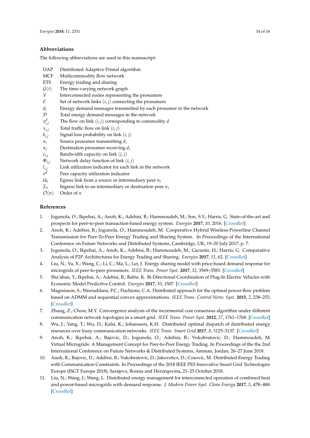# **Abbreviations**

The following abbreviations are used in this manuscript:

- DAP Distributed Adaptive Primal algorithm
- MCF Multicommodity flow network
- ETS Energy trading and sharing
- $G(t)$  The time-varying network graph
- $V$  Interconnected nodes representing the prosumers
- E Set of network links  $(i, j)$  connecting the prosumers
- *d<sup>i</sup>* Energy demand messages transmitted by each prosumer in the network
- $D$  Total energy demand messages in the network
- *x d i*,*j* The flow on link (*i*, *j*) corresponding to commodity *d*
- $x_{i,j}$  Total traffic flow on link  $(i, j)$
- $k_{i,j}$  Signal loss probability on link  $(i, j)$
- $n_i$  Source prosumer transmitting  $d_i$
- $n_j$  Destination prosumer receiving  $d_i$
- 
- *c*<sub>*i*,*j* Bandwidth capacity on link  $(i, j)$ <br> $\Phi$ *i*, Network delay function of link (</sub> Network delay function of link  $(i, j)$
- *l* Link utilization indicator for each link in the network
- *v* Peer capacity utilization indicator
- $U_n$  Egress link from a source or intermediary peer  $n_i$
- $\mathcal{I}_n$  Ingress link to an intermediary or destination peer  $n_i$
- $\mathcal{O}(n)$  Order of *n*

# **References**

- <span id="page-14-0"></span>1. Jogunola, O.; Ikpehai, A.; Anoh, K.; Adebisi, B.; Hammoudeh, M.; Son, S.Y.; Harris, G. State-of-the-art and prospects for peer-to-peer transaction-based energy system. *Energies* **2017**, *10*, 2016. [\[CrossRef\]](http://dx.doi.org/10.3390/en10122106)
- <span id="page-14-1"></span>2. Anoh, K.; Adebisi, B.; Jogunola, O.; Hammoudeh, M. Cooperative Hybrid Wireless-Powerline Channel Transmission for Peer-To-Peer Energy Trading and Sharing System. In Proceedings of the International Conference on Future Networks and Distributed Systems, Cambridge, UK, 19–20 July 2017; p. 7.
- <span id="page-14-2"></span>3. Jogunola, O.; Ikpehai, A.; Anoh, K.; Adebisi, B.; Hammoudeh, M.; Gacanin, H.; Harris, G. Comparative Analysis of P2P Architectures for Energy Trading and Sharing. *Energies* **2017**, *11*, 62. [\[CrossRef\]](http://dx.doi.org/10.3390/en11010062)
- <span id="page-14-3"></span>4. Liu, N.; Yu, X.; Wang, C.; Li, C.; Ma, L.; Lei, J. Energy sharing model with price-based demand response for microgrids of peer-to-peer prosumers. *IEEE Trans. Power Syst.* **2017**, *32*, 3569–3583. [\[CrossRef\]](http://dx.doi.org/10.1109/TPWRS.2017.2649558)
- <span id="page-14-4"></span>5. Sha'aban, Y.; Ikpehai, A.; Adebisi, B.; Rabie, K. Bi-Directional Coordination of Plug-In Electric Vehicles with Economic Model Predictive Control. *Energies* **2017**, *10*, 1507. [\[CrossRef\]](http://dx.doi.org/10.3390/en10101507)
- <span id="page-14-5"></span>6. Magnússon, S.; Weeraddana, P.C.; Fischione, C.A. Distributed approach for the optimal power-flow problem based on ADMM and sequential convex approximations. *IEEE Trans. Control Netw. Syst.* **2015**, *2*, 238–253. [\[CrossRef\]](http://dx.doi.org/10.1109/TCNS.2015.2399192)
- 7. Zhang, Z.; Chow, M.Y. Convergence analysis of the incremental cost consensus algorithm under different communication network topologies in a smart grid. *IEEE Trans. Power Syst.* **2012**, *27*, 1761–1768. [\[CrossRef\]](http://dx.doi.org/10.1109/TPWRS.2012.2188912)
- <span id="page-14-6"></span>8. Wu, J.; Yang, T.; Wu, D.; Kalsi, K.; Johansson, K.H. Distributed optimal dispatch of distributed energy resources over lossy communication networks. *IEEE Trans. Smart Grid* **2017**, *8*, 3125–3137. [\[CrossRef\]](http://dx.doi.org/10.1109/TSG.2017.2720761)
- <span id="page-14-7"></span>9. Anoh, K.; Ikpehai, A.; Bajovic, D.; Jogunola, O.; Adebisi, B.; Vukobratovic, D.; Hammoudeh, M. Virtual Microgrids: A Management Concept for Peer-to-Peer Energy Trading. In Proceedings of the the 2nd International Conference on Future Networks & Distributed Systems, Amman, Jordan, 26–27 June 2018.
- <span id="page-14-8"></span>10. Anoh, K.; Bajovic, D.; Adebisi, B.; Vukobratovic, D.; Jakoveticx, D.; Cosovic, M. Distributed Energy Trading with Communication Constraints. In Proceedings of the 2018 IEEE PES Innovative Smart Grid Technologies Europe (ISGT Europe 2018), Sarajevo, Bosnia and Herzeqovina, 21–25 October 2018.
- <span id="page-14-9"></span>11. Liu, N.; Wang, J.; Wang, L. Distributed energy management for interconnected operation of combined heat and power-based microgrids with demand response. *J. Modern Power Syst. Clean Energy* **2017**, *5*, 478–488. [\[CrossRef\]](http://dx.doi.org/10.1007/s40565-017-0267-2)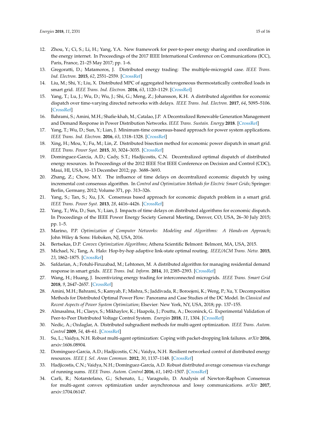- <span id="page-15-1"></span>12. Zhou, Y.; Ci, S.; Li, H.; Yang, Y.A. New framework for peer-to-peer energy sharing and coordination in the energy internet. In Proceedings of the 2017 IEEE International Conference on Communications (ICC), Paris, France, 21–25 May 2017; pp. 1–6.
- <span id="page-15-12"></span>13. Gregoratti, D.; Matamoros, J. Distributed energy trading: The multiple-microgrid case. *IEEE Trans. Ind. Electron.* **2015**, *62*, 2551–2559. [\[CrossRef\]](http://dx.doi.org/10.1109/TIE.2014.2352592)
- <span id="page-15-21"></span>14. Liu, M.; Shi, Y.; Liu, X. Distributed MPC of aggregated heterogeneous thermostatically controlled loads in smart grid. *IEEE Trans. Ind. Electron.* **2016**, *63*, 1120–1129. [\[CrossRef\]](http://dx.doi.org/10.1109/TIE.2015.2492946)
- <span id="page-15-5"></span>15. Yang, T.; Lu, J.; Wu, D.; Wu, J.; Shi, G.; Meng, Z.; Johansson, K.H. A distributed algorithm for economic dispatch over time-varying directed networks with delays. *IEEE Trans. Ind. Electron.* **2017**, *64*, 5095–5106. [\[CrossRef\]](http://dx.doi.org/10.1109/TIE.2016.2617832)
- <span id="page-15-0"></span>16. Bahrami, S.; Amini, M.H.; Shafie-khah, M.; Catalao, J.P. A Decentralized Renewable Generation Management and Demand Response in Power Distribution Networks. *IEEE Trans. Sustain. Energy* **2018**. [\[CrossRef\]](http://dx.doi.org/10.1109/TSTE.2018.2815502)
- <span id="page-15-2"></span>17. Yang, T.; Wu, D.; Sun, Y.; Lian, J. Minimum-time consensus-based approach for power system applications. *IEEE Trans. Ind. Electron.* **2016**, *63*, 1318–1328. [\[CrossRef\]](http://dx.doi.org/10.1109/TIE.2015.2504050)
- 18. Xing, H.; Mou, Y.; Fu, M.; Lin, Z. Distributed bisection method for economic power dispatch in smart grid. *IEEE Trans. Power Syst.* **2015**, *30*, 3024–3035. [\[CrossRef\]](http://dx.doi.org/10.1109/TPWRS.2014.2376935)
- <span id="page-15-3"></span>19. Dominguez-Garcia, A.D.; Cady, S.T.; Hadjicostis, C.N. Decentralized optimal dispatch of distributed energy resources. In Proceedings of the 2012 IEEE 51st IEEE Conference on Decision and Control (CDC), Maui, HI, USA, 10–13 December 2012; pp. 3688–3693.
- <span id="page-15-4"></span>20. Zhang, Z.; Chow, M.Y. The influence of time delays on decentralized economic dispatch by using incremental cost consensus algorithm. In *Control and Optimization Methods for Electric Smart Grids*; Springer: Berlin, Germany, 2012; Volume 371, pp. 313–326.
- <span id="page-15-6"></span>21. Yang, S.; Tan, S.; Xu, J.X. Consensus based approach for economic dispatch problem in a smart grid. *IEEE Trans. Power Syst.* **2013**, *28*, 4416–4426. [\[CrossRef\]](http://dx.doi.org/10.1109/TPWRS.2013.2271640)
- <span id="page-15-7"></span>22. Yang, T.; Wu, D.; Sun, Y.; Lian, J. Impacts of time delays on distributed algorithms for economic dispatch. In Proceedings of the IEEE Power Energy Society General Meeting, Denver, CO, USA, 26–30 July 2015; pp. 1–5.
- <span id="page-15-8"></span>23. Marino, P.P. *Optimization of Computer Networks: Modeling and Algorithms: A Hands-on Approach*; John Wiley & Sons: Hoboken, NJ, USA, 2016.
- <span id="page-15-9"></span>24. Bertsekas, D.P. *Convex Optimization Algorithms*; Athena Scientific Belmont: Belmont, MA, USA, 2015.
- <span id="page-15-10"></span>25. Michael, N.; Tang, A. Halo: Hop-by-hop adaptive link-state optimal routing. *IEEE/ACM Trans. Netw.* **2015**, *23*, 1862–1875. [\[CrossRef\]](http://dx.doi.org/10.1109/TNET.2014.2349905)
- <span id="page-15-11"></span>26. Safdarian, A.; Fotuhi-Firuzabad, M.; Lehtonen, M. A distributed algorithm for managing residential demand response in smart grids. *IEEE Trans. Ind. Inform.* **2014**, *10*, 2385–2393. [\[CrossRef\]](http://dx.doi.org/10.1109/TII.2014.2316639)
- <span id="page-15-13"></span>27. Wang, H.; Huang, J. Incentivizing energy trading for interconnected microgrids. *IEEE Trans. Smart Grid* **2018**, *9*, 2647–2657. [\[CrossRef\]](http://dx.doi.org/10.1109/TSG.2016.2614988)
- <span id="page-15-14"></span>28. Amini, M.H.; Bahrami, S.; Kamyab, F.; Mishra, S.; Jaddivada, R.; Boroojeni, K.; Weng, P.; Xu, Y. Decomposition Methods for Distributed Optimal Power Flow: Panorama and Case Studies of the DC Model. In *Classical and Recent Aspects of Power System Optimization*; Elsevier: New York, NY, USA, 2018; pp. 137–155.
- <span id="page-15-15"></span>29. Almasalma, H.; Claeys, S.; Mikhaylov, K.; Haapola, J.; Pouttu, A.; Deconinck, G. Experimental Validation of Peer-to-Peer Distributed Voltage Control System. *Energies* **2018**, *11*, 1304. [\[CrossRef\]](http://dx.doi.org/10.3390/en11051304)
- <span id="page-15-16"></span>30. Nedic, A.; Ozdaglar, A. Distributed subgradient methods for multi-agent optimization. *IEEE Trans. Autom. Control* **2009**, *54*, 48–61. [\[CrossRef\]](http://dx.doi.org/10.1109/TAC.2008.2009515)
- <span id="page-15-17"></span>31. Su, L.; Vaidya, N.H. Robust multi-agent optimization: Coping with packet-dropping link failures. *arXiv* **2016**, arxiv:1606.08904.
- <span id="page-15-19"></span>32. Dominguez-Garcia, A.D.; Hadjicostis, C.N.; Vaidya, N.H. Resilient networked control of distributed energy resources. *IEEE J. Sel. Areas Commun.* **2012**, *30*, 1137–1148. [\[CrossRef\]](http://dx.doi.org/10.1109/JSAC.2012.120711)
- <span id="page-15-18"></span>33. Hadjicostis, C.N.; Vaidya, N.H.; Domínguez-García, A.D. Robust distributed average consensus via exchange of running sums. *IEEE Trans. Autom. Control* **2016**, *61*, 1492–1507. [\[CrossRef\]](http://dx.doi.org/10.1109/TAC.2015.2471695)
- <span id="page-15-20"></span>34. Carli, R.; Notarstefano, G.; Schenato, L.; Varagnolo, D. Analysis of Newton-Raphson Consensus for multi-agent convex optimization under asynchronous and lossy communications. *arXiv* **2017**, arxiv:1704.06147.